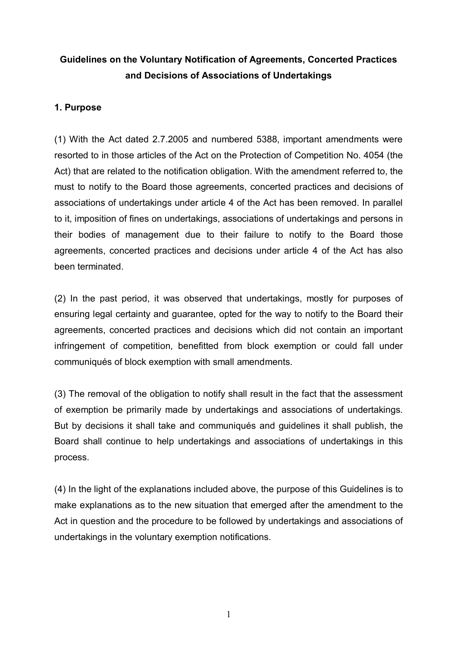# **Guidelines on the Voluntary Notification of Agreements, Concerted Practices and Decisions of Associations of Undertakings**

# **1. Purpose**

(1) With the Act dated 2.7.2005 and numbered 5388, important amendments were resorted to in those articles of the Act on the Protection of Competition No. 4054 (the Act) that are related to the notification obligation. With the amendment referred to, the must to notify to the Board those agreements, concerted practices and decisions of associations of undertakings under article 4 of the Act has been removed. In parallel to it, imposition of fines on undertakings, associations of undertakings and persons in their bodies of management due to their failure to notify to the Board those agreements, concerted practices and decisions under article 4 of the Act has also been terminated.

(2) In the past period, it was observed that undertakings, mostly for purposes of ensuring legal certainty and guarantee, opted for the way to notify to the Board their agreements, concerted practices and decisions which did not contain an important infringement of competition, benefitted from block exemption or could fall under communiqués of block exemption with small amendments.

(3) The removal of the obligation to notify shall result in the fact that the assessment of exemption be primarily made by undertakings and associations of undertakings. But by decisions it shall take and communiqués and guidelines it shall publish, the Board shall continue to help undertakings and associations of undertakings in this process.

(4) In the light of the explanations included above, the purpose of this Guidelines is to make explanations as to the new situation that emerged after the amendment to the Act in question and the procedure to be followed by undertakings and associations of undertakings in the voluntary exemption notifications.

1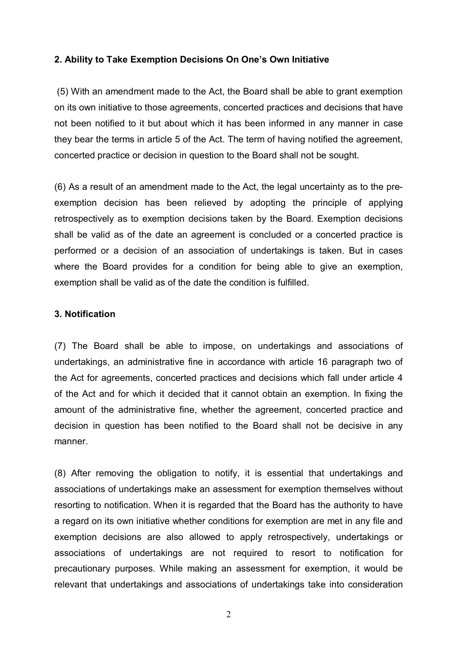#### **2. Ability to Take Exemption Decisions On One's Own Initiative**

 (5) With an amendment made to the Act, the Board shall be able to grant exemption on its own initiative to those agreements, concerted practices and decisions that have not been notified to it but about which it has been informed in any manner in case they bear the terms in article 5 of the Act. The term of having notified the agreement, concerted practice or decision in question to the Board shall not be sought.

(6) As a result of an amendment made to the Act, the legal uncertainty as to the preexemption decision has been relieved by adopting the principle of applying retrospectively as to exemption decisions taken by the Board. Exemption decisions shall be valid as of the date an agreement is concluded or a concerted practice is performed or a decision of an association of undertakings is taken. But in cases where the Board provides for a condition for being able to give an exemption, exemption shall be valid as of the date the condition is fulfilled.

#### **3. Notification**

(7) The Board shall be able to impose, on undertakings and associations of undertakings, an administrative fine in accordance with article 16 paragraph two of the Act for agreements, concerted practices and decisions which fall under article 4 of the Act and for which it decided that it cannot obtain an exemption. In fixing the amount of the administrative fine, whether the agreement, concerted practice and decision in question has been notified to the Board shall not be decisive in any manner.

(8) After removing the obligation to notify, it is essential that undertakings and associations of undertakings make an assessment for exemption themselves without resorting to notification. When it is regarded that the Board has the authority to have a regard on its own initiative whether conditions for exemption are met in any file and exemption decisions are also allowed to apply retrospectively, undertakings or associations of undertakings are not required to resort to notification for precautionary purposes. While making an assessment for exemption, it would be relevant that undertakings and associations of undertakings take into consideration

2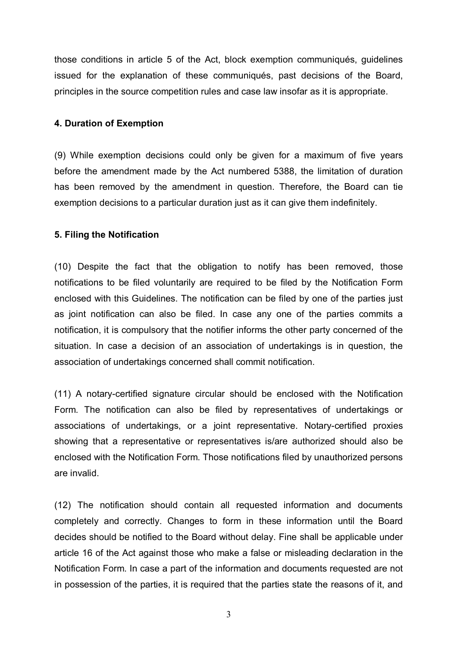those conditions in article 5 of the Act, block exemption communiqués, guidelines issued for the explanation of these communiqués, past decisions of the Board, principles in the source competition rules and case law insofar as it is appropriate.

#### **4. Duration of Exemption**

(9) While exemption decisions could only be given for a maximum of five years before the amendment made by the Act numbered 5388, the limitation of duration has been removed by the amendment in question. Therefore, the Board can tie exemption decisions to a particular duration just as it can give them indefinitely.

### **5. Filing the Notification**

(10) Despite the fact that the obligation to notify has been removed, those notifications to be filed voluntarily are required to be filed by the Notification Form enclosed with this Guidelines. The notification can be filed by one of the parties just as joint notification can also be filed. In case any one of the parties commits a notification, it is compulsory that the notifier informs the other party concerned of the situation. In case a decision of an association of undertakings is in question, the association of undertakings concerned shall commit notification.

(11) A notary-certified signature circular should be enclosed with the Notification Form. The notification can also be filed by representatives of undertakings or associations of undertakings, or a joint representative. Notary-certified proxies showing that a representative or representatives is/are authorized should also be enclosed with the Notification Form. Those notifications filed by unauthorized persons are invalid.

(12) The notification should contain all requested information and documents completely and correctly. Changes to form in these information until the Board decides should be notified to the Board without delay. Fine shall be applicable under article 16 of the Act against those who make a false or misleading declaration in the Notification Form. In case a part of the information and documents requested are not in possession of the parties, it is required that the parties state the reasons of it, and

3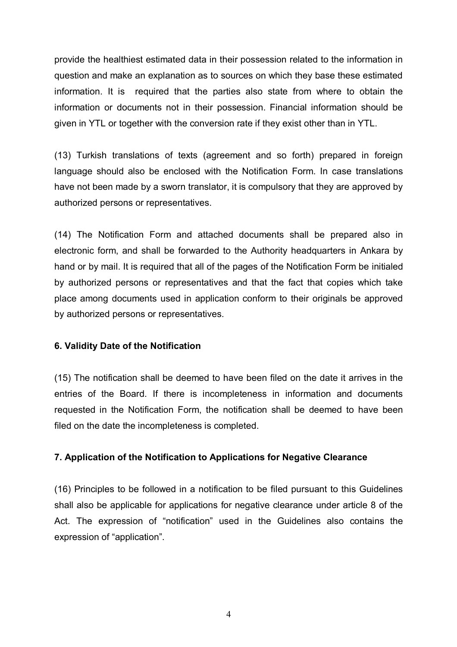provide the healthiest estimated data in their possession related to the information in question and make an explanation as to sources on which they base these estimated information. It is required that the parties also state from where to obtain the information or documents not in their possession. Financial information should be given in YTL or together with the conversion rate if they exist other than in YTL.

(13) Turkish translations of texts (agreement and so forth) prepared in foreign language should also be enclosed with the Notification Form. In case translations have not been made by a sworn translator, it is compulsory that they are approved by authorized persons or representatives.

(14) The Notification Form and attached documents shall be prepared also in electronic form, and shall be forwarded to the Authority headquarters in Ankara by hand or by mail. It is required that all of the pages of the Notification Form be initialed by authorized persons or representatives and that the fact that copies which take place among documents used in application conform to their originals be approved by authorized persons or representatives.

#### **6. Validity Date of the Notification**

(15) The notification shall be deemed to have been filed on the date it arrives in the entries of the Board. If there is incompleteness in information and documents requested in the Notification Form, the notification shall be deemed to have been filed on the date the incompleteness is completed.

# **7. Application of the Notification to Applications for Negative Clearance**

(16) Principles to be followed in a notification to be filed pursuant to this Guidelines shall also be applicable for applications for negative clearance under article 8 of the Act. The expression of "notification" used in the Guidelines also contains the expression of "application".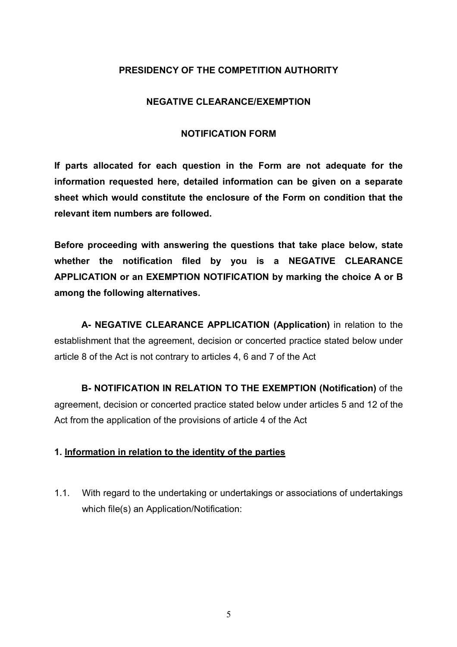# **PRESIDENCY OF THE COMPETITION AUTHORITY**

### **NEGATIVE CLEARANCE/EXEMPTION**

### **NOTIFICATION FORM**

**If parts allocated for each question in the Form are not adequate for the information requested here, detailed information can be given on a separate sheet which would constitute the enclosure of the Form on condition that the relevant item numbers are followed.**

**Before proceeding with answering the questions that take place below, state whether the notification filed by you is a NEGATIVE CLEARANCE APPLICATION or an EXEMPTION NOTIFICATION by marking the choice A or B among the following alternatives.**

**A- NEGATIVE CLEARANCE APPLICATION (Application)** in relation to the establishment that the agreement, decision or concerted practice stated below under article 8 of the Act is not contrary to articles 4, 6 and 7 of the Act

**B- NOTIFICATION IN RELATION TO THE EXEMPTION (Notification)** of the agreement, decision or concerted practice stated below under articles 5 and 12 of the Act from the application of the provisions of article 4 of the Act

# **1. Information in relation to the identity of the parties**

1.1. With regard to the undertaking or undertakings or associations of undertakings which file(s) an Application/Notification: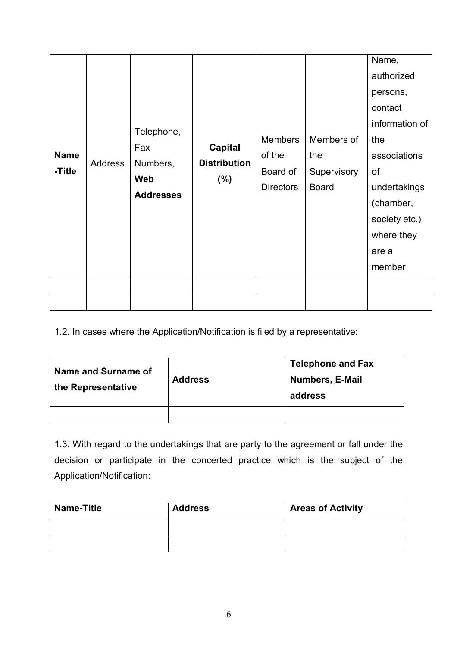| <b>Name</b><br>-Title | Address | Telephone,<br>Fax<br>Numbers,<br>Web<br><b>Addresses</b> | <b>Capital</b><br><b>Distribution</b><br>(%) | <b>Members</b><br>of the<br>Board of<br><b>Directors</b> | Members of<br>the<br>Supervisory<br><b>Board</b> | Name,<br>authorized<br>persons,<br>contact<br>information of<br>the<br>associations<br>of<br>undertakings<br>(chamber,<br>society etc.)<br>where they<br>are a<br>member |
|-----------------------|---------|----------------------------------------------------------|----------------------------------------------|----------------------------------------------------------|--------------------------------------------------|--------------------------------------------------------------------------------------------------------------------------------------------------------------------------|
|                       |         |                                                          |                                              |                                                          |                                                  |                                                                                                                                                                          |

1.2. In cases where the Application/Notification is filed by a representative:

| Name and Surname of<br>the Representative | <b>Address</b> | <b>Telephone and Fax</b><br><b>Numbers, E-Mail</b><br>address |
|-------------------------------------------|----------------|---------------------------------------------------------------|
|                                           |                |                                                               |

1.3. With regard to the undertakings that are party to the agreement or fall under the decision or participate in the concerted practice which is the subject of the Application/Notification:

| <b>Name-Title</b> | <b>Address</b> | <b>Areas of Activity</b> |
|-------------------|----------------|--------------------------|
|                   |                |                          |
|                   |                |                          |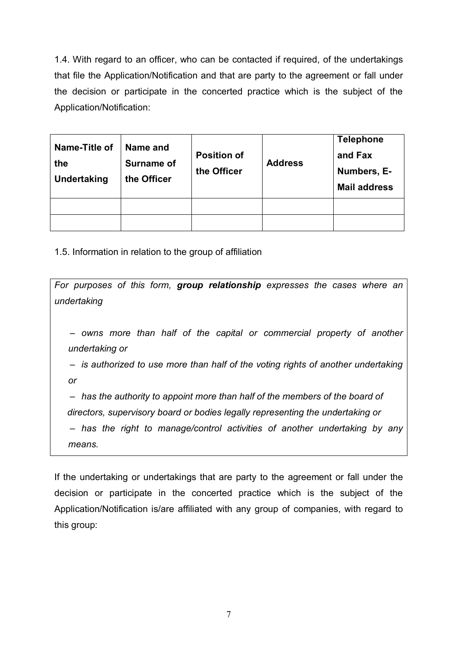1.4. With regard to an officer, who can be contacted if required, of the undertakings that file the Application/Notification and that are party to the agreement or fall under the decision or participate in the concerted practice which is the subject of the Application/Notification:

| Name-Title of<br>the<br><b>Undertaking</b> | Name and<br><b>Surname of</b><br>the Officer | <b>Position of</b><br>the Officer | <b>Address</b> | <b>Telephone</b><br>and Fax<br>Numbers, E-<br><b>Mail address</b> |
|--------------------------------------------|----------------------------------------------|-----------------------------------|----------------|-------------------------------------------------------------------|
|                                            |                                              |                                   |                |                                                                   |
|                                            |                                              |                                   |                |                                                                   |

1.5. Information in relation to the group of affiliation

*For purposes of this form, group relationship expresses the cases where an undertaking – owns more than half of the capital or commercial property of another undertaking or – is authorized to use more than half of the voting rights of another undertaking or – has the authority to appoint more than half of the members of the board of directors, supervisory board or bodies legally representing the undertaking or – has the right to manage/control activities of another undertaking by any means.*

If the undertaking or undertakings that are party to the agreement or fall under the decision or participate in the concerted practice which is the subject of the Application/Notification is/are affiliated with any group of companies, with regard to this group: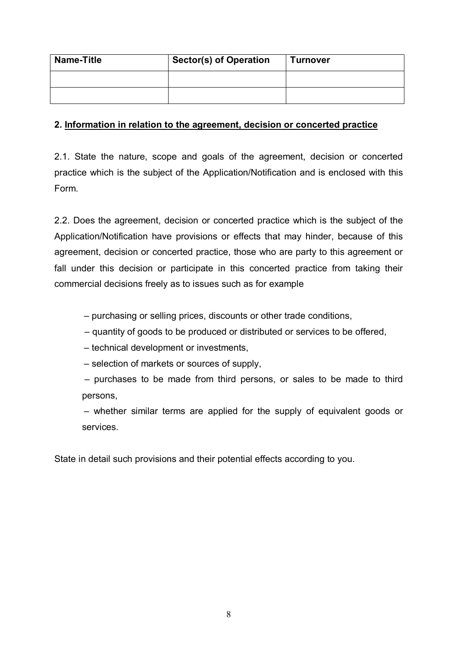| <b>Name-Title</b> | <b>Sector(s) of Operation</b> | <b>Turnover</b> |
|-------------------|-------------------------------|-----------------|
|                   |                               |                 |
|                   |                               |                 |

# **2. Information in relation to the agreement, decision or concerted practice**

2.1. State the nature, scope and goals of the agreement, decision or concerted practice which is the subject of the Application/Notification and is enclosed with this Form.

2.2. Does the agreement, decision or concerted practice which is the subject of the Application/Notification have provisions or effects that may hinder, because of this agreement, decision or concerted practice, those who are party to this agreement or fall under this decision or participate in this concerted practice from taking their commercial decisions freely as to issues such as for example

*–* purchasing or selling prices, discounts or other trade conditions,

*–* quantity of goods to be produced or distributed or services to be offered,

*–* technical development or investments,

*–* selection of markets or sources of supply,

*–* purchases to be made from third persons, or sales to be made to third persons,

*–* whether similar terms are applied for the supply of equivalent goods or services.

State in detail such provisions and their potential effects according to you.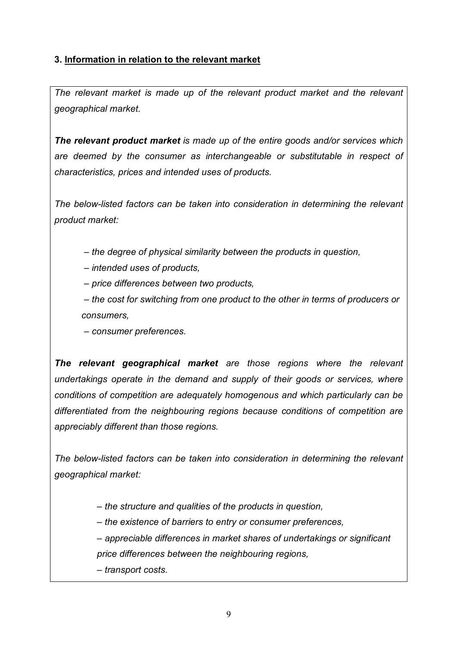# **3. Information in relation to the relevant market**

*The relevant market is made up of the relevant product market and the relevant geographical market.*

*The relevant product market is made up of the entire goods and/or services which are deemed by the consumer as interchangeable or substitutable in respect of characteristics, prices and intended uses of products.*

*The below-listed factors can be taken into consideration in determining the relevant product market:*

*– the degree of physical similarity between the products in question,*

 *– intended uses of products,*

*– price differences between two products,*

*– the cost for switching from one product to the other in terms of producers or consumers,*

*– consumer preferences.*

*The relevant geographical market are those regions where the relevant undertakings operate in the demand and supply of their goods or services, where conditions of competition are adequately homogenous and which particularly can be differentiated from the neighbouring regions because conditions of competition are appreciably different than those regions.*

*The below-listed factors can be taken into consideration in determining the relevant geographical market:*

 *– the structure and qualities of the products in question,*

 *– the existence of barriers to entry or consumer preferences,*

 *– appreciable differences in market shares of undertakings or significant price differences between the neighbouring regions,* 

 *– transport costs.*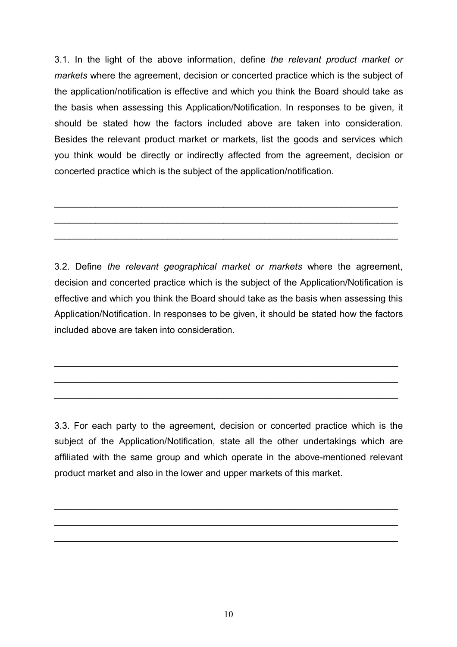3.1. In the light of the above information, define *the relevant product market or markets* where the agreement, decision or concerted practice which is the subject of the application/notification is effective and which you think the Board should take as the basis when assessing this Application/Notification. In responses to be given, it should be stated how the factors included above are taken into consideration. Besides the relevant product market or markets, list the goods and services which you think would be directly or indirectly affected from the agreement, decision or concerted practice which is the subject of the application/notification.

\_\_\_\_\_\_\_\_\_\_\_\_\_\_\_\_\_\_\_\_\_\_\_\_\_\_\_\_\_\_\_\_\_\_\_\_\_\_\_\_\_\_\_\_\_\_\_\_\_\_\_\_\_\_\_\_\_\_\_\_\_\_\_\_\_\_\_

\_\_\_\_\_\_\_\_\_\_\_\_\_\_\_\_\_\_\_\_\_\_\_\_\_\_\_\_\_\_\_\_\_\_\_\_\_\_\_\_\_\_\_\_\_\_\_\_\_\_\_\_\_\_\_\_\_\_\_\_\_\_\_\_\_\_\_

\_\_\_\_\_\_\_\_\_\_\_\_\_\_\_\_\_\_\_\_\_\_\_\_\_\_\_\_\_\_\_\_\_\_\_\_\_\_\_\_\_\_\_\_\_\_\_\_\_\_\_\_\_\_\_\_\_\_\_\_\_\_\_\_\_\_\_

3.2. Define *the relevant geographical market or markets* where the agreement, decision and concerted practice which is the subject of the Application/Notification is effective and which you think the Board should take as the basis when assessing this Application/Notification. In responses to be given, it should be stated how the factors included above are taken into consideration.

\_\_\_\_\_\_\_\_\_\_\_\_\_\_\_\_\_\_\_\_\_\_\_\_\_\_\_\_\_\_\_\_\_\_\_\_\_\_\_\_\_\_\_\_\_\_\_\_\_\_\_\_\_\_\_\_\_\_\_\_\_\_\_\_\_\_\_

\_\_\_\_\_\_\_\_\_\_\_\_\_\_\_\_\_\_\_\_\_\_\_\_\_\_\_\_\_\_\_\_\_\_\_\_\_\_\_\_\_\_\_\_\_\_\_\_\_\_\_\_\_\_\_\_\_\_\_\_\_\_\_\_\_\_\_

\_\_\_\_\_\_\_\_\_\_\_\_\_\_\_\_\_\_\_\_\_\_\_\_\_\_\_\_\_\_\_\_\_\_\_\_\_\_\_\_\_\_\_\_\_\_\_\_\_\_\_\_\_\_\_\_\_\_\_\_\_\_\_\_\_\_\_

3.3. For each party to the agreement, decision or concerted practice which is the subject of the Application/Notification, state all the other undertakings which are affiliated with the same group and which operate in the above-mentioned relevant product market and also in the lower and upper markets of this market.

 $\_$ 

 $\_$ 

 $\_$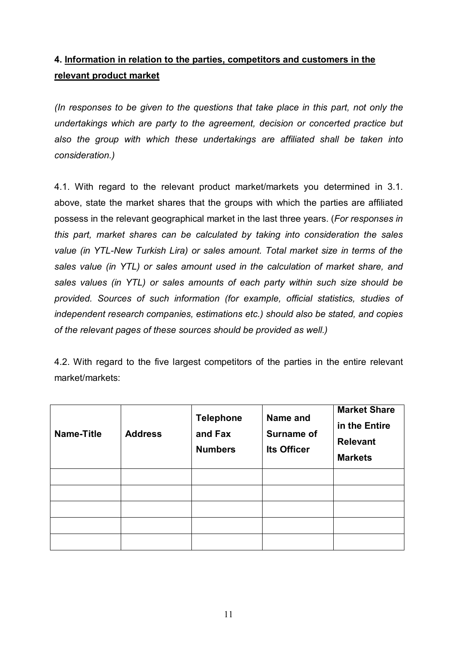# **4. Information in relation to the parties, competitors and customers in the relevant product market**

*(In responses to be given to the questions that take place in this part, not only the undertakings which are party to the agreement, decision or concerted practice but also the group with which these undertakings are affiliated shall be taken into consideration.)*

4.1. With regard to the relevant product market/markets you determined in 3.1. above, state the market shares that the groups with which the parties are affiliated possess in the relevant geographical market in the last three years. (*For responses in this part, market shares can be calculated by taking into consideration the sales value (in YTL-New Turkish Lira) or sales amount. Total market size in terms of the sales value (in YTL) or sales amount used in the calculation of market share, and sales values (in YTL) or sales amounts of each party within such size should be provided. Sources of such information (for example, official statistics, studies of independent research companies, estimations etc.) should also be stated, and copies of the relevant pages of these sources should be provided as well.)*

4.2. With regard to the five largest competitors of the parties in the entire relevant market/markets:

| <b>Name-Title</b> | <b>Address</b> | <b>Telephone</b><br>and Fax<br><b>Numbers</b> | Name and<br><b>Surname of</b><br><b>Its Officer</b> | <b>Market Share</b><br>in the Entire<br><b>Relevant</b><br><b>Markets</b> |
|-------------------|----------------|-----------------------------------------------|-----------------------------------------------------|---------------------------------------------------------------------------|
|                   |                |                                               |                                                     |                                                                           |
|                   |                |                                               |                                                     |                                                                           |
|                   |                |                                               |                                                     |                                                                           |
|                   |                |                                               |                                                     |                                                                           |
|                   |                |                                               |                                                     |                                                                           |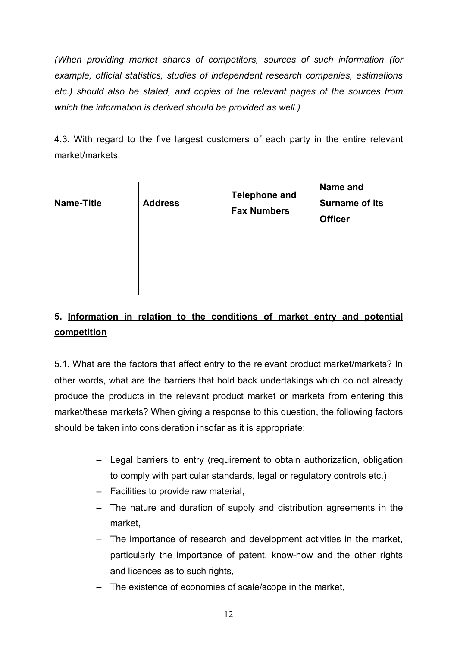*(When providing market shares of competitors, sources of such information (for example, official statistics, studies of independent research companies, estimations etc.) should also be stated, and copies of the relevant pages of the sources from which the information is derived should be provided as well.)*

4.3. With regard to the five largest customers of each party in the entire relevant market/markets:

| <b>Name-Title</b> | <b>Address</b> | <b>Telephone and</b><br><b>Fax Numbers</b> | Name and<br><b>Surname of Its</b><br><b>Officer</b> |
|-------------------|----------------|--------------------------------------------|-----------------------------------------------------|
|                   |                |                                            |                                                     |
|                   |                |                                            |                                                     |
|                   |                |                                            |                                                     |
|                   |                |                                            |                                                     |

# **5. Information in relation to the conditions of market entry and potential competition**

5.1. What are the factors that affect entry to the relevant product market/markets? In other words, what are the barriers that hold back undertakings which do not already produce the products in the relevant product market or markets from entering this market/these markets? When giving a response to this question, the following factors should be taken into consideration insofar as it is appropriate:

- Legal barriers to entry (requirement to obtain authorization, obligation to comply with particular standards, legal or regulatory controls etc.)
- Facilities to provide raw material,
- The nature and duration of supply and distribution agreements in the market,
- The importance of research and development activities in the market, particularly the importance of patent, know-how and the other rights and licences as to such rights,
- The existence of economies of scale/scope in the market,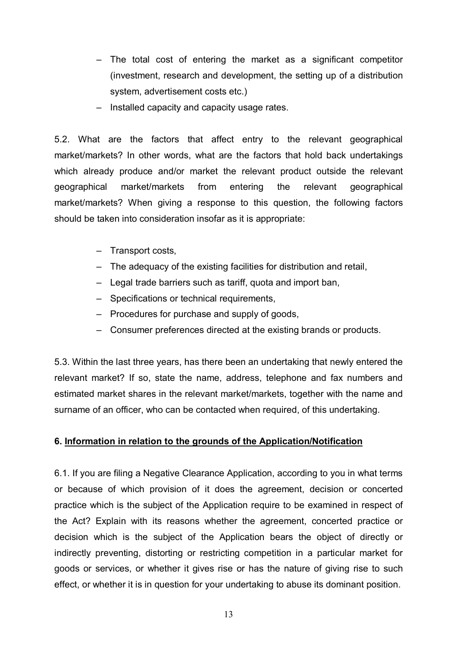- The total cost of entering the market as a significant competitor (investment, research and development, the setting up of a distribution system, advertisement costs etc.)
- Installed capacity and capacity usage rates.

5.2. What are the factors that affect entry to the relevant geographical market/markets? In other words, what are the factors that hold back undertakings which already produce and/or market the relevant product outside the relevant geographical market/markets from entering the relevant geographical market/markets? When giving a response to this question, the following factors should be taken into consideration insofar as it is appropriate:

- Transport costs,
- The adequacy of the existing facilities for distribution and retail,
- Legal trade barriers such as tariff, quota and import ban,
- Specifications or technical requirements,
- Procedures for purchase and supply of goods,
- Consumer preferences directed at the existing brands or products.

5.3. Within the last three years, has there been an undertaking that newly entered the relevant market? If so, state the name, address, telephone and fax numbers and estimated market shares in the relevant market/markets, together with the name and surname of an officer, who can be contacted when required, of this undertaking.

# **6. Information in relation to the grounds of the Application/Notification**

6.1. If you are filing a Negative Clearance Application, according to you in what terms or because of which provision of it does the agreement, decision or concerted practice which is the subject of the Application require to be examined in respect of the Act? Explain with its reasons whether the agreement, concerted practice or decision which is the subject of the Application bears the object of directly or indirectly preventing, distorting or restricting competition in a particular market for goods or services, or whether it gives rise or has the nature of giving rise to such effect, or whether it is in question for your undertaking to abuse its dominant position.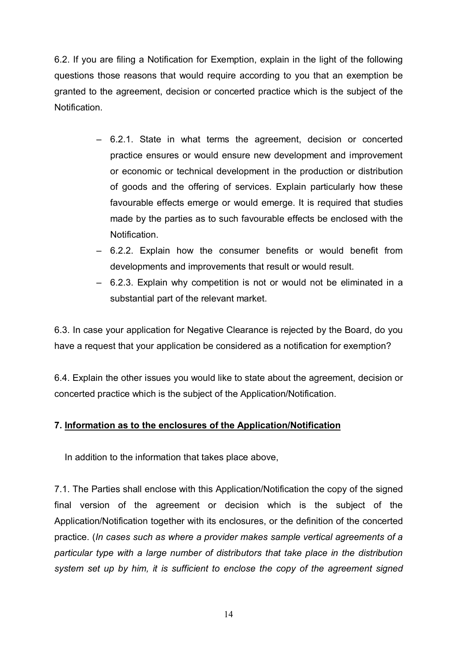6.2. If you are filing a Notification for Exemption, explain in the light of the following questions those reasons that would require according to you that an exemption be granted to the agreement, decision or concerted practice which is the subject of the **Notification** 

- 6.2.1. State in what terms the agreement, decision or concerted practice ensures or would ensure new development and improvement or economic or technical development in the production or distribution of goods and the offering of services. Explain particularly how these favourable effects emerge or would emerge. It is required that studies made by the parties as to such favourable effects be enclosed with the Notification.
- 6.2.2. Explain how the consumer benefits or would benefit from developments and improvements that result or would result.
- 6.2.3. Explain why competition is not or would not be eliminated in a substantial part of the relevant market.

6.3. In case your application for Negative Clearance is rejected by the Board, do you have a request that your application be considered as a notification for exemption?

6.4. Explain the other issues you would like to state about the agreement, decision or concerted practice which is the subject of the Application/Notification.

# **7. Information as to the enclosures of the Application/Notification**

In addition to the information that takes place above,

7.1. The Parties shall enclose with this Application/Notification the copy of the signed final version of the agreement or decision which is the subject of the Application/Notification together with its enclosures, or the definition of the concerted practice. (*In cases such as where a provider makes sample vertical agreements of a particular type with a large number of distributors that take place in the distribution system set up by him, it is sufficient to enclose the copy of the agreement signed*